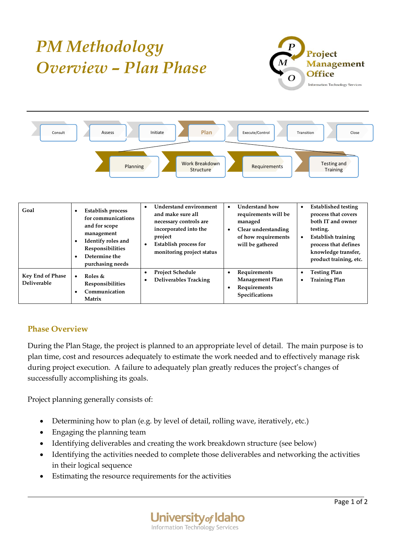## *PM Methodology Overview – Plan Phase*





| Goal                                          | Establish process<br>$\bullet$<br>for communications<br>and for scope<br>management<br>Identify roles and<br>$\bullet$<br>Responsibilities<br>Determine the<br>٠<br>purchasing needs | <b>Understand environment</b><br>and make sure all<br>necessary controls are<br>incorporated into the<br>project<br><b>Establish process for</b><br>monitoring project status | <b>Understand how</b><br>requirements will be<br>managed<br>Clear understanding<br>of how requirements<br>will be gathered | <b>Established testing</b><br>$\bullet$<br>process that covers<br>both IT and owner<br>testing.<br><b>Establish training</b><br>$\bullet$<br>process that defines<br>knowledge transfer,<br>product training, etc. |
|-----------------------------------------------|--------------------------------------------------------------------------------------------------------------------------------------------------------------------------------------|-------------------------------------------------------------------------------------------------------------------------------------------------------------------------------|----------------------------------------------------------------------------------------------------------------------------|--------------------------------------------------------------------------------------------------------------------------------------------------------------------------------------------------------------------|
| <b>Key End of Phase</b><br><b>Deliverable</b> | Roles &<br>$\bullet$<br><b>Responsibilities</b><br>Communication<br>٠<br>Matrix                                                                                                      | <b>Project Schedule</b><br><b>Deliverables Tracking</b>                                                                                                                       | Requirements<br>$\bullet$<br><b>Management Plan</b><br>Requirements<br>Specifications                                      | <b>Testing Plan</b><br>$\bullet$<br><b>Training Plan</b>                                                                                                                                                           |

## **Phase Overview**

During the Plan Stage, the project is planned to an appropriate level of detail. The main purpose is to plan time, cost and resources adequately to estimate the work needed and to effectively manage risk during project execution. A failure to adequately plan greatly reduces the project's changes of successfully accomplishing its goals.

Project planning generally consists of:

- Determining how to plan (e.g. by level of detail, rolling wave, iteratively, etc.)
- Engaging the planning team
- Identifying deliverables and creating the work breakdown structure (see below)
- Identifying the activities needed to complete those deliverables and networking the activities in their logical sequence
- Estimating the resource requirements for the activities